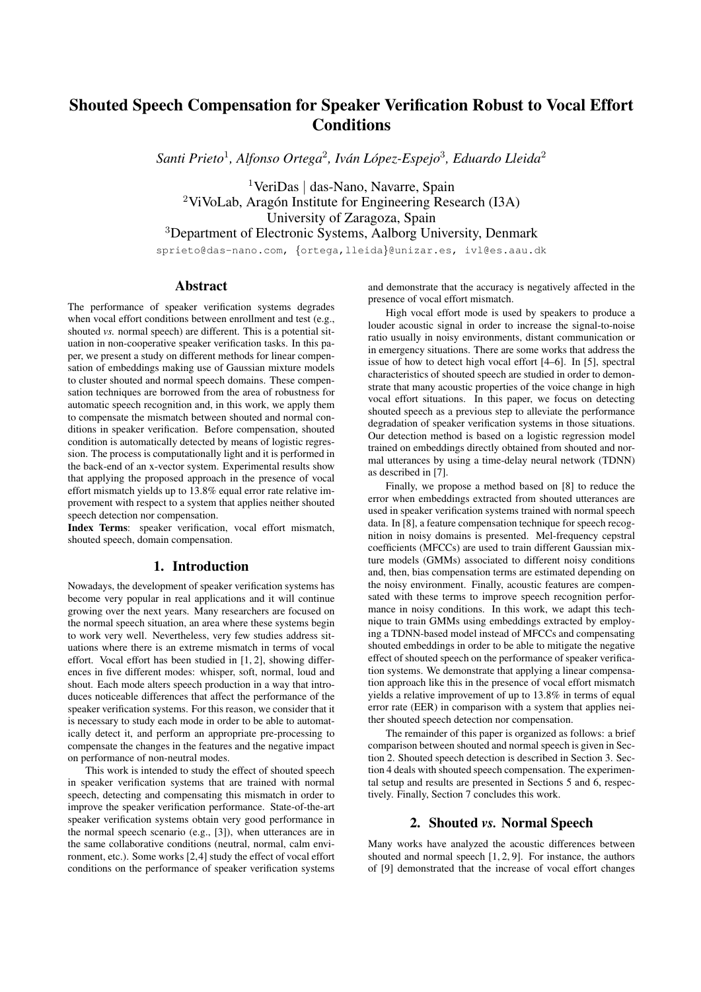# Shouted Speech Compensation for Speaker Verification Robust to Vocal Effort **Conditions**

*Santi Prieto*<sup>1</sup> *, Alfonso Ortega*<sup>2</sup> *, Ivan L ´ opez-Espejo ´* 3 *, Eduardo Lleida*<sup>2</sup>

<sup>1</sup>VeriDas | das-Nano, Navarre, Spain  $2$ ViVoLab, Aragón Institute for Engineering Research (I3A) University of Zaragoza, Spain <sup>3</sup>Department of Electronic Systems, Aalborg University, Denmark

sprieto@das-nano.com, {ortega, lleida}@unizar.es, ivl@es.aau.dk

### Abstract

The performance of speaker verification systems degrades when vocal effort conditions between enrollment and test (e.g., shouted *vs.* normal speech) are different. This is a potential situation in non-cooperative speaker verification tasks. In this paper, we present a study on different methods for linear compensation of embeddings making use of Gaussian mixture models to cluster shouted and normal speech domains. These compensation techniques are borrowed from the area of robustness for automatic speech recognition and, in this work, we apply them to compensate the mismatch between shouted and normal conditions in speaker verification. Before compensation, shouted condition is automatically detected by means of logistic regression. The process is computationally light and it is performed in the back-end of an x-vector system. Experimental results show that applying the proposed approach in the presence of vocal effort mismatch yields up to 13.8% equal error rate relative improvement with respect to a system that applies neither shouted speech detection nor compensation.

Index Terms: speaker verification, vocal effort mismatch, shouted speech, domain compensation.

## 1. Introduction

Nowadays, the development of speaker verification systems has become very popular in real applications and it will continue growing over the next years. Many researchers are focused on the normal speech situation, an area where these systems begin to work very well. Nevertheless, very few studies address situations where there is an extreme mismatch in terms of vocal effort. Vocal effort has been studied in [1, 2], showing differences in five different modes: whisper, soft, normal, loud and shout. Each mode alters speech production in a way that introduces noticeable differences that affect the performance of the speaker verification systems. For this reason, we consider that it is necessary to study each mode in order to be able to automatically detect it, and perform an appropriate pre-processing to compensate the changes in the features and the negative impact on performance of non-neutral modes.

This work is intended to study the effect of shouted speech in speaker verification systems that are trained with normal speech, detecting and compensating this mismatch in order to improve the speaker verification performance. State-of-the-art speaker verification systems obtain very good performance in the normal speech scenario (e.g., [3]), when utterances are in the same collaborative conditions (neutral, normal, calm environment, etc.). Some works [2,4] study the effect of vocal effort conditions on the performance of speaker verification systems and demonstrate that the accuracy is negatively affected in the presence of vocal effort mismatch.

High vocal effort mode is used by speakers to produce a louder acoustic signal in order to increase the signal-to-noise ratio usually in noisy environments, distant communication or in emergency situations. There are some works that address the issue of how to detect high vocal effort [4–6]. In [5], spectral characteristics of shouted speech are studied in order to demonstrate that many acoustic properties of the voice change in high vocal effort situations. In this paper, we focus on detecting shouted speech as a previous step to alleviate the performance degradation of speaker verification systems in those situations. Our detection method is based on a logistic regression model trained on embeddings directly obtained from shouted and normal utterances by using a time-delay neural network (TDNN) as described in [7].

Finally, we propose a method based on [8] to reduce the error when embeddings extracted from shouted utterances are used in speaker verification systems trained with normal speech data. In [8], a feature compensation technique for speech recognition in noisy domains is presented. Mel-frequency cepstral coefficients (MFCCs) are used to train different Gaussian mixture models (GMMs) associated to different noisy conditions and, then, bias compensation terms are estimated depending on the noisy environment. Finally, acoustic features are compensated with these terms to improve speech recognition performance in noisy conditions. In this work, we adapt this technique to train GMMs using embeddings extracted by employing a TDNN-based model instead of MFCCs and compensating shouted embeddings in order to be able to mitigate the negative effect of shouted speech on the performance of speaker verification systems. We demonstrate that applying a linear compensation approach like this in the presence of vocal effort mismatch yields a relative improvement of up to 13.8% in terms of equal error rate (EER) in comparison with a system that applies neither shouted speech detection nor compensation.

The remainder of this paper is organized as follows: a brief comparison between shouted and normal speech is given in Section 2. Shouted speech detection is described in Section 3. Section 4 deals with shouted speech compensation. The experimental setup and results are presented in Sections 5 and 6, respectively. Finally, Section 7 concludes this work.

#### 2. Shouted *vs.* Normal Speech

Many works have analyzed the acoustic differences between shouted and normal speech [1, 2, 9]. For instance, the authors of [9] demonstrated that the increase of vocal effort changes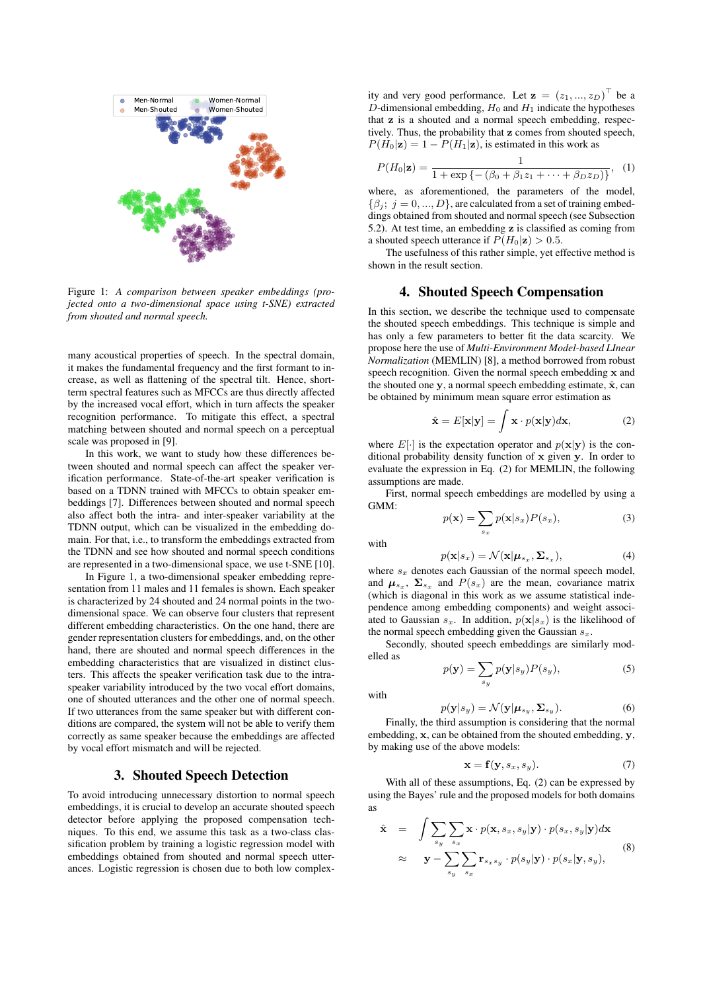

Figure 1: *A comparison between speaker embeddings (projected onto a two-dimensional space using t-SNE) extracted from shouted and normal speech.*

many acoustical properties of speech. In the spectral domain, it makes the fundamental frequency and the first formant to increase, as well as flattening of the spectral tilt. Hence, shortterm spectral features such as MFCCs are thus directly affected by the increased vocal effort, which in turn affects the speaker recognition performance. To mitigate this effect, a spectral matching between shouted and normal speech on a perceptual scale was proposed in [9].

In this work, we want to study how these differences between shouted and normal speech can affect the speaker verification performance. State-of-the-art speaker verification is based on a TDNN trained with MFCCs to obtain speaker embeddings [7]. Differences between shouted and normal speech also affect both the intra- and inter-speaker variability at the TDNN output, which can be visualized in the embedding domain. For that, i.e., to transform the embeddings extracted from the TDNN and see how shouted and normal speech conditions are represented in a two-dimensional space, we use t-SNE [10].

In Figure 1, a two-dimensional speaker embedding representation from 11 males and 11 females is shown. Each speaker is characterized by 24 shouted and 24 normal points in the twodimensional space. We can observe four clusters that represent different embedding characteristics. On the one hand, there are gender representation clusters for embeddings, and, on the other hand, there are shouted and normal speech differences in the embedding characteristics that are visualized in distinct clusters. This affects the speaker verification task due to the intraspeaker variability introduced by the two vocal effort domains, one of shouted utterances and the other one of normal speech. If two utterances from the same speaker but with different conditions are compared, the system will not be able to verify them correctly as same speaker because the embeddings are affected by vocal effort mismatch and will be rejected.

## 3. Shouted Speech Detection

To avoid introducing unnecessary distortion to normal speech embeddings, it is crucial to develop an accurate shouted speech detector before applying the proposed compensation techniques. To this end, we assume this task as a two-class classification problem by training a logistic regression model with embeddings obtained from shouted and normal speech utterances. Logistic regression is chosen due to both low complex-

ity and very good performance. Let  $\mathbf{z} = (z_1, ..., z_D)^\top$  be a D-dimensional embedding,  $H_0$  and  $H_1$  indicate the hypotheses that z is a shouted and a normal speech embedding, respectively. Thus, the probability that z comes from shouted speech,  $P(H_0|\mathbf{z}) = 1 - P(H_1|\mathbf{z})$ , is estimated in this work as

$$
P(H_0|\mathbf{z}) = \frac{1}{1 + \exp\{- (\beta_0 + \beta_1 z_1 + \dots + \beta_D z_D) \}}, \quad (1)
$$

where, as aforementioned, the parameters of the model,  $\{\beta_i; i = 0, ..., D\}$ , are calculated from a set of training embeddings obtained from shouted and normal speech (see Subsection 5.2). At test time, an embedding z is classified as coming from a shouted speech utterance if  $P(H_0|\mathbf{z}) > 0.5$ .

The usefulness of this rather simple, yet effective method is shown in the result section.

#### 4. Shouted Speech Compensation

In this section, we describe the technique used to compensate the shouted speech embeddings. This technique is simple and has only a few parameters to better fit the data scarcity. We propose here the use of *Multi-Environment Model-based LInear Normalization* (MEMLIN) [8], a method borrowed from robust speech recognition. Given the normal speech embedding x and the shouted one y, a normal speech embedding estimate,  $\hat{\mathbf{x}}$ , can be obtained by minimum mean square error estimation as

$$
\hat{\mathbf{x}} = E[\mathbf{x}|\mathbf{y}] = \int \mathbf{x} \cdot p(\mathbf{x}|\mathbf{y}) d\mathbf{x},\tag{2}
$$

where  $E[\cdot]$  is the expectation operator and  $p(\mathbf{x}|\mathbf{y})$  is the conditional probability density function of x given y. In order to evaluate the expression in Eq. (2) for MEMLIN, the following assumptions are made.

First, normal speech embeddings are modelled by using a GMM:

$$
p(\mathbf{x}) = \sum_{s_x} p(\mathbf{x}|s_x) P(s_x), \tag{3}
$$

with

$$
p(\mathbf{x}|s_x) = \mathcal{N}(\mathbf{x}|\boldsymbol{\mu}_{s_x}, \boldsymbol{\Sigma}_{s_x}),
$$
\n(4)

where  $s_x$  denotes each Gaussian of the normal speech model, and  $\mu_{s_x}$ ,  $\Sigma_{s_x}$  and  $P(s_x)$  are the mean, covariance matrix (which is diagonal in this work as we assume statistical independence among embedding components) and weight associated to Gaussian  $s_x$ . In addition,  $p(\mathbf{x}|s_x)$  is the likelihood of the normal speech embedding given the Gaussian  $s_x$ .

Secondly, shouted speech embeddings are similarly modelled as

$$
p(\mathbf{y}) = \sum_{s_y} p(\mathbf{y}|s_y) P(s_y),
$$
\n(5)

with

$$
p(\mathbf{y}|s_y) = \mathcal{N}(\mathbf{y}|\boldsymbol{\mu}_{s_y}, \boldsymbol{\Sigma}_{s_y}).
$$
\n(6)

Finally, the third assumption is considering that the normal embedding, x, can be obtained from the shouted embedding, y, by making use of the above models:

$$
\mathbf{x} = \mathbf{f}(\mathbf{y}, s_x, s_y). \tag{7}
$$

With all of these assumptions, Eq. (2) can be expressed by using the Bayes' rule and the proposed models for both domains as

$$
\hat{\mathbf{x}} = \int \sum_{s_y} \sum_{s_x} \mathbf{x} \cdot p(\mathbf{x}, s_x, s_y | \mathbf{y}) \cdot p(s_x, s_y | \mathbf{y}) d\mathbf{x} \n\approx \mathbf{y} - \sum_{s_y} \sum_{s_x} \mathbf{r}_{s_x s_y} \cdot p(s_y | \mathbf{y}) \cdot p(s_x | \mathbf{y}, s_y),
$$
\n(8)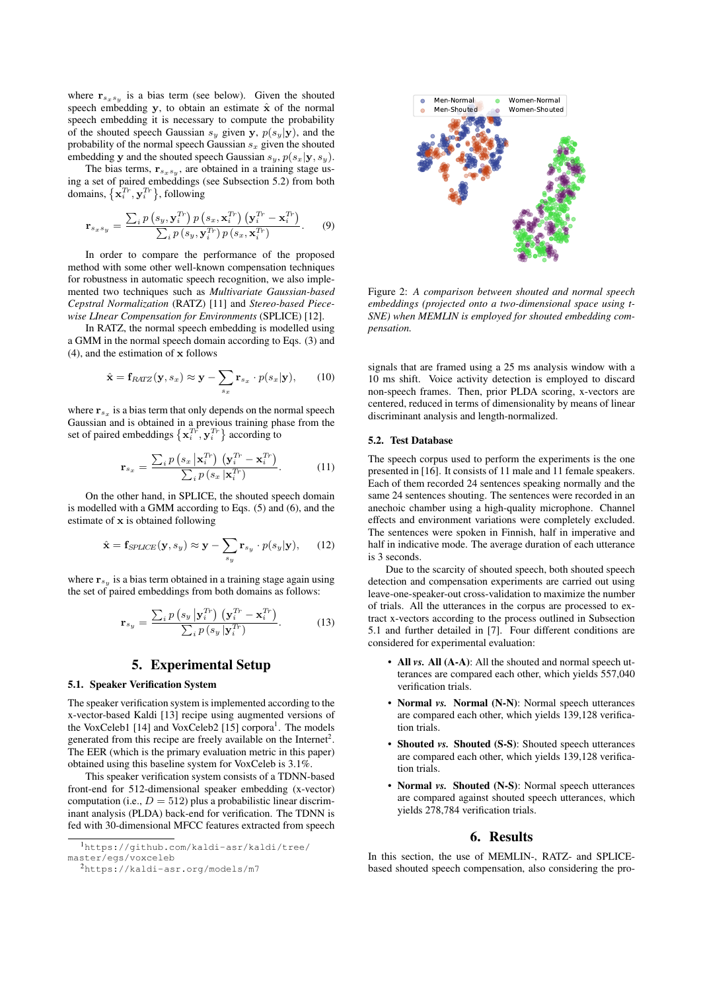where  $\mathbf{r}_{s_x s_y}$  is a bias term (see below). Given the shouted speech embedding  $y$ , to obtain an estimate  $\hat{x}$  of the normal speech embedding it is necessary to compute the probability of the shouted speech Gaussian  $s_y$  given y,  $p(s_y|\mathbf{y})$ , and the probability of the normal speech Gaussian  $s_x$  given the shouted embedding y and the shouted speech Gaussian  $s_y$ ,  $p(s_x|\mathbf{y}, s_y)$ .

The bias terms,  $r_{s_x s_y}$ , are obtained in a training stage using a set of paired embeddings (see Subsection 5.2) from both domains,  $\{\mathbf x_i^{Tr}, \mathbf y_i^{Tr}\}$ , following

$$
\mathbf{r}_{s_x s_y} = \frac{\sum_i p\left(s_y, \mathbf{y}_i^{Tr}\right) p\left(s_x, \mathbf{x}_i^{Tr}\right) \left(\mathbf{y}_i^{Tr} - \mathbf{x}_i^{Tr}\right)}{\sum_i p\left(s_y, \mathbf{y}_i^{Tr}\right) p\left(s_x, \mathbf{x}_i^{Tr}\right)}.
$$
 (9)

In order to compare the performance of the proposed method with some other well-known compensation techniques for robustness in automatic speech recognition, we also implemented two techniques such as *Multivariate Gaussian-based Cepstral Normalization* (RATZ) [11] and *Stereo-based Piecewise LInear Compensation for Environments* (SPLICE) [12].

In RATZ, the normal speech embedding is modelled using a GMM in the normal speech domain according to Eqs. (3) and (4), and the estimation of x follows

$$
\hat{\mathbf{x}} = \mathbf{f}_{RATZ}(\mathbf{y}, s_x) \approx \mathbf{y} - \sum_{s_x} \mathbf{r}_{s_x} \cdot p(s_x | \mathbf{y}), \qquad (10)
$$

where  $r_{s_x}$  is a bias term that only depends on the normal speech Gaussian and is obtained in a previous training phase from the set of paired embeddings  $\{ \mathbf x_i^{Tr}, \mathbf y_i^{Tr} \}$  according to

$$
\mathbf{r}_{s_x} = \frac{\sum_{i} p\left(s_x \, \left| \mathbf{x}_i^{Tr}\right) \left(\mathbf{y}_i^{Tr} - \mathbf{x}_i^{Tr}\right)\right.}{\sum_{i} p\left(s_x \, \left| \mathbf{x}_i^{Tr}\right.\right)}.\tag{11}
$$

On the other hand, in SPLICE, the shouted speech domain is modelled with a GMM according to Eqs. (5) and (6), and the estimate of x is obtained following

$$
\hat{\mathbf{x}} = \mathbf{f}_{\text{SPLICE}}(\mathbf{y}, s_y) \approx \mathbf{y} - \sum_{s_y} \mathbf{r}_{s_y} \cdot p(s_y | \mathbf{y}), \qquad (12)
$$

where  $\mathbf{r}_{s_y}$  is a bias term obtained in a training stage again using the set of paired embeddings from both domains as follows:

$$
\mathbf{r}_{s_y} = \frac{\sum_{i} p\left(s_y \left| \mathbf{y}_i^{T_r}\right) \left(\mathbf{y}_i^{T_r} - \mathbf{x}_i^{T_r}\right)\right.}{\sum_{i} p\left(s_y \left| \mathbf{y}_i^{T_r}\right)\right)}.\tag{13}
$$

## 5. Experimental Setup

#### 5.1. Speaker Verification System

The speaker verification system is implemented according to the x-vector-based Kaldi [13] recipe using augmented versions of the VoxCeleb1 [14] and VoxCeleb2 [15] corpora<sup>1</sup>. The models generated from this recipe are freely available on the Internet<sup>2</sup>. The EER (which is the primary evaluation metric in this paper) obtained using this baseline system for VoxCeleb is 3.1%.

This speaker verification system consists of a TDNN-based front-end for 512-dimensional speaker embedding (x-vector) computation (i.e.,  $D = 512$ ) plus a probabilistic linear discriminant analysis (PLDA) back-end for verification. The TDNN is fed with 30-dimensional MFCC features extracted from speech



Figure 2: *A comparison between shouted and normal speech embeddings (projected onto a two-dimensional space using t-SNE) when MEMLIN is employed for shouted embedding compensation.*

signals that are framed using a 25 ms analysis window with a 10 ms shift. Voice activity detection is employed to discard non-speech frames. Then, prior PLDA scoring, x-vectors are centered, reduced in terms of dimensionality by means of linear discriminant analysis and length-normalized.

#### 5.2. Test Database

The speech corpus used to perform the experiments is the one presented in [16]. It consists of 11 male and 11 female speakers. Each of them recorded 24 sentences speaking normally and the same 24 sentences shouting. The sentences were recorded in an anechoic chamber using a high-quality microphone. Channel effects and environment variations were completely excluded. The sentences were spoken in Finnish, half in imperative and half in indicative mode. The average duration of each utterance is 3 seconds.

Due to the scarcity of shouted speech, both shouted speech detection and compensation experiments are carried out using leave-one-speaker-out cross-validation to maximize the number of trials. All the utterances in the corpus are processed to extract x-vectors according to the process outlined in Subsection 5.1 and further detailed in [7]. Four different conditions are considered for experimental evaluation:

- All *vs.* All (A-A): All the shouted and normal speech utterances are compared each other, which yields 557,040 verification trials.
- Normal *vs.* Normal (N-N): Normal speech utterances are compared each other, which yields 139,128 verification trials.
- Shouted *vs.* Shouted (S-S): Shouted speech utterances are compared each other, which yields 139,128 verification trials.
- Normal *vs.* Shouted (N-S): Normal speech utterances are compared against shouted speech utterances, which yields 278,784 verification trials.

#### 6. Results

In this section, the use of MEMLIN-, RATZ- and SPLICEbased shouted speech compensation, also considering the pro-

<sup>1</sup>https://github.com/kaldi-asr/kaldi/tree/ master/egs/voxceleb

<sup>2</sup>https://kaldi-asr.org/models/m7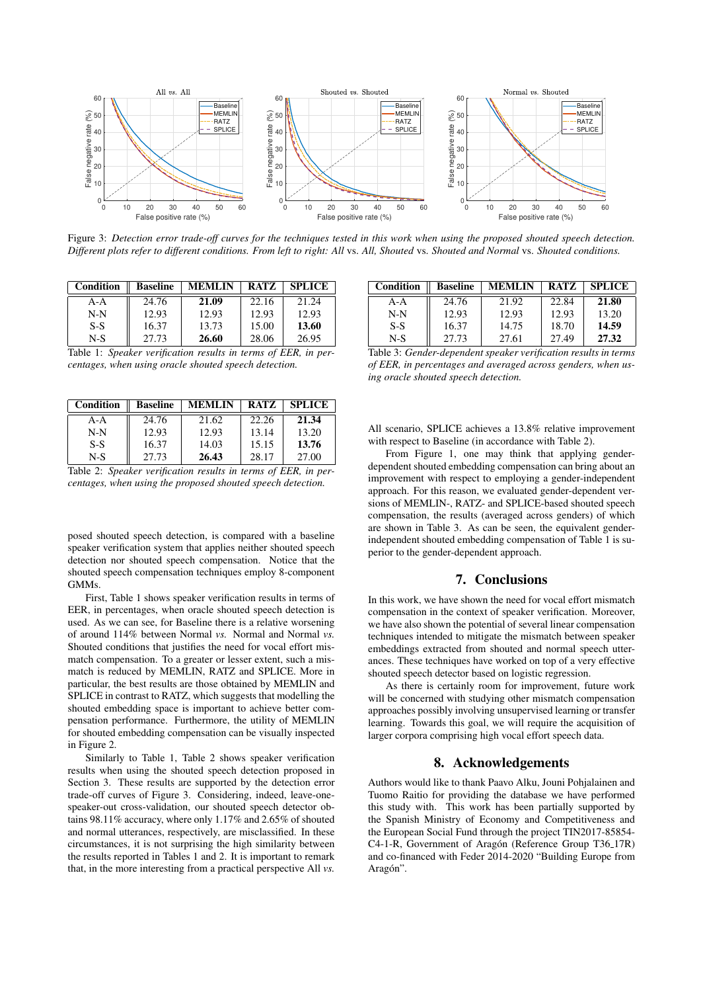

Figure 3: *Detection error trade-off curves for the techniques tested in this work when using the proposed shouted speech detection. Different plots refer to different conditions. From left to right: All* vs. *All, Shouted* vs. *Shouted and Normal* vs. *Shouted conditions.*

| Condition | <b>Baseline</b> | <b>MEMLIN</b> | <b>RATZ</b> | <b>SPLICE</b> |
|-----------|-----------------|---------------|-------------|---------------|
| $A-A$     | 24.76           | 21.09         | 22.16       | 21.24         |
| $N-N$     | 12.93           | 12.93         | 12.93       | 12.93         |
| $S-S$     | 16.37           | 13.73         | 15.00       | 13.60         |
| $N-S$     | 27.73           | 26.60         | 28.06       | 26.95         |

Table 1: *Speaker verification results in terms of EER, in percentages, when using oracle shouted speech detection.*

| <b>Condition</b> | <b>Baseline</b> | <b>MEMLIN</b> | <b>RATZ</b> | <b>SPLICE</b> |
|------------------|-----------------|---------------|-------------|---------------|
| $A-A$            | 24.76           | 21.62         | 22.26       | 21.34         |
| $N-N$            | 12.93           | 12.93         | 13.14       | 13.20         |
| $S-S$            | 16.37           | 14.03         | 15.15       | 13.76         |
| $N-S$            | 27.73           | 26.43         | 28.17       | 27.00         |

Table 2: *Speaker verification results in terms of EER, in percentages, when using the proposed shouted speech detection.*

posed shouted speech detection, is compared with a baseline speaker verification system that applies neither shouted speech detection nor shouted speech compensation. Notice that the shouted speech compensation techniques employ 8-component GMMs.

First, Table 1 shows speaker verification results in terms of EER, in percentages, when oracle shouted speech detection is used. As we can see, for Baseline there is a relative worsening of around 114% between Normal *vs.* Normal and Normal *vs.* Shouted conditions that justifies the need for vocal effort mismatch compensation. To a greater or lesser extent, such a mismatch is reduced by MEMLIN, RATZ and SPLICE. More in particular, the best results are those obtained by MEMLIN and SPLICE in contrast to RATZ, which suggests that modelling the shouted embedding space is important to achieve better compensation performance. Furthermore, the utility of MEMLIN for shouted embedding compensation can be visually inspected in Figure 2.

Similarly to Table 1, Table 2 shows speaker verification results when using the shouted speech detection proposed in Section 3. These results are supported by the detection error trade-off curves of Figure 3. Considering, indeed, leave-onespeaker-out cross-validation, our shouted speech detector obtains 98.11% accuracy, where only 1.17% and 2.65% of shouted and normal utterances, respectively, are misclassified. In these circumstances, it is not surprising the high similarity between the results reported in Tables 1 and 2. It is important to remark that, in the more interesting from a practical perspective All *vs.*

| Condition | <b>Baseline</b> | <b>MEMLIN</b> | <b>RATZ</b> | <b>SPLICE</b> |  |
|-----------|-----------------|---------------|-------------|---------------|--|
| $A-A$     | 24.76           | 21.92         | 22.84       | 21.80         |  |
| $N-N$     | 12.93           | 12.93         | 12.93       | 13.20         |  |
| $S-S$     | 16.37           | 14.75         | 18.70       | 14.59         |  |
| $N-S$     | 27.73           | 27.61         | 27.49       | 27.32         |  |
|           |                 |               |             |               |  |

Table 3: *Gender-dependent speaker verification results in terms of EER, in percentages and averaged across genders, when using oracle shouted speech detection.*

All scenario, SPLICE achieves a 13.8% relative improvement with respect to Baseline (in accordance with Table 2).

From Figure 1, one may think that applying genderdependent shouted embedding compensation can bring about an improvement with respect to employing a gender-independent approach. For this reason, we evaluated gender-dependent versions of MEMLIN-, RATZ- and SPLICE-based shouted speech compensation, the results (averaged across genders) of which are shown in Table 3. As can be seen, the equivalent genderindependent shouted embedding compensation of Table 1 is superior to the gender-dependent approach.

## 7. Conclusions

In this work, we have shown the need for vocal effort mismatch compensation in the context of speaker verification. Moreover, we have also shown the potential of several linear compensation techniques intended to mitigate the mismatch between speaker embeddings extracted from shouted and normal speech utterances. These techniques have worked on top of a very effective shouted speech detector based on logistic regression.

As there is certainly room for improvement, future work will be concerned with studying other mismatch compensation approaches possibly involving unsupervised learning or transfer learning. Towards this goal, we will require the acquisition of larger corpora comprising high vocal effort speech data.

#### 8. Acknowledgements

Authors would like to thank Paavo Alku, Jouni Pohjalainen and Tuomo Raitio for providing the database we have performed this study with. This work has been partially supported by the Spanish Ministry of Economy and Competitiveness and the European Social Fund through the project TIN2017-85854- C4-1-R, Government of Aragón (Reference Group T36<sub>-17R)</sub> and co-financed with Feder 2014-2020 "Building Europe from Aragón".